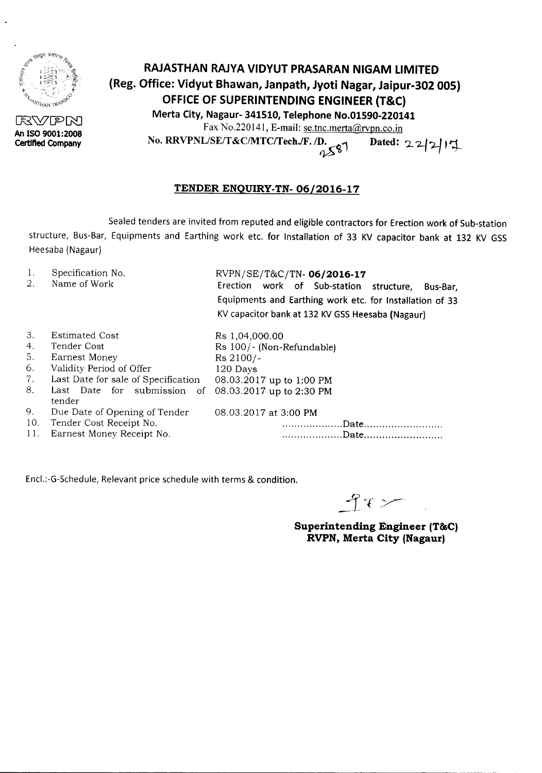

**RWPN An ISO 9001:2008 Certified Company**

# **RAJASTHAN RAJYA VIDYUT PRASARAN NIGAM LIMITED (Reg. Office: Vidyut Bhawan, Janpath, Jyoti Nagar, Jaipur-302 005) OFFICE OF SUPERINTENDING ENGINEER (T&C) Merta City, Nagaur- 341510, Telephone No.01590-220141** Fax No.220141, E-mail: se.tnc.merta@rvpn.co.in

No. RRVPNL/SE/T&C/MTC/Tech./F. /D. pated: 22/2/17

## **TENDER ENQUIRY-TN-06/2016-17**

Sealed tenders are invited from reputed and eligible contractors for Erection work of Sub-station structure, Bus-Bar, Equipments and Earthing work etc. for Installation of 33 KV capacitor bank at 132 KV GSS Heesaba(Nagaur)

- 1. 2. Specification No. Name of Work RVPN/SE/T&C/TN-06/2016-17 Erection work of Sub-station structure, Bus-Bar, Equipments and Earthing work etc. for Installation of 33 KV capacitor bank at 132 KV GSS Heesaba (Nagaur) 3. 4. Estimated Cost Tender Cost Rs 1,04,000.00 Rs 100/- (Non-Refundable)
- 5. 6. 7. 8. Earnest Money Validity Period of Offer Last Date for sale of Specification Last Date for submission of 08.03.2017 up to 2:30 PM Rs 2100/- 120 Days 08.03.2017 up to 1:00 PM 08.03.2017 at 3:00 PM .................... Date . . Date . tender 9. Due Date of Opening of Tender 10. Tender Cost Receipt No.<br>11. Earnest Money Receipt I Earnest Money Receipt No.

Encl.:-G-Schedule, Relevant price schedule with terms & condition.

 $942$ 

**Superintending Engineer (T&C) RVPN, Merta City (Nagaur)**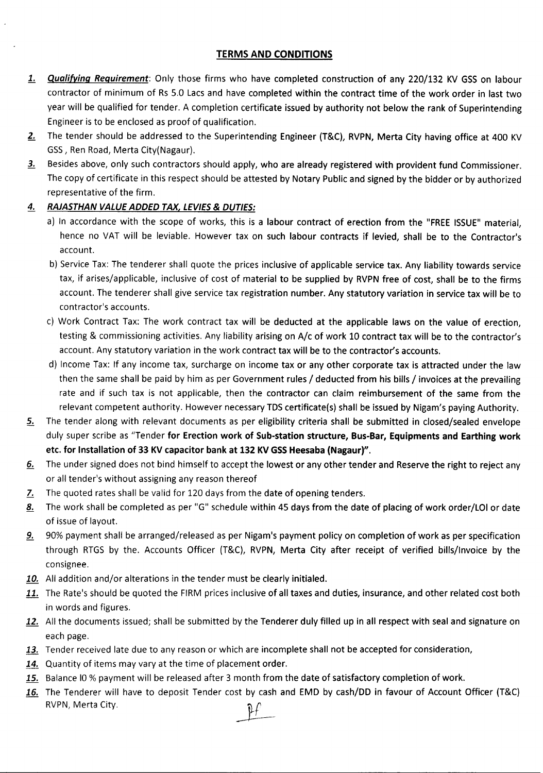## TERMS AND CONDITIONS

- 1. **Qualifying Requirement**: Only those firms who have completed construction of any 220/132 KV GSS on labour contractor of minimum of Rs 5.0 Lacs and have completed within the contract time of the work order in last two year will be qualified for tender. A completion certificate issued by authority not below the rank of Superintending Engineer is to be enclosed as proof of qualification.
- 2. The tender should be addressed to the Superintending Engineer (T&C), RVPN, Merta City having office at 400 KV GSS, Ren Road, Merta City(Nagaur).
- 3. Besides above, only such contractors should apply, who are already registered with provident fund Commissioner. The copy of certificate in this respect should be attested by Notary Public and signed by the bidder or by authorized representative of the firm.

#### *4. RAJASTHAN VALUE ADDED TAX, LEVIES*& *DUTIES:*

- a) In accordance with the scope of works, this is a labour contract of erection from the "FREE ISSUE" material, hence no VAT will be leviable. However tax on such labour contracts if levied, shall be to the Contractor's account.
- b) Service Tax: The tenderer shall quote the prices inclusive of applicable service tax. Any liability towards service tax, if arises/applicable, inclusive of cost of material to be supplied by RVPN free of cost, shall be to the firms account. The tenderer shall give service tax registration number. Any statutory variation in service tax will be to contractor's accounts.
- c) Work Contract Tax: The work contract tax will be deducted at the applicable laws on the value of erection, testing & commissioning activities. Any liability arising on A/c of work 10 contract tax will be to the contractor's account. Any statutory variation in the work contract tax will be to the contractor's accounts.
- d) Income Tax: If any income tax, surcharge on income tax or any other corporate tax is attracted under the law then the same shall be paid by him as per Government rules / deducted from his bills / invoices at the prevailing rate and if such tax is not applicable, then the contractor can claim reimbursement of the same from the relevant competent authority. However necessary TDS certificate(s) shall be issued by Nigam's paying Authority.
- 5. The tender along with relevant documents as per eligibility criteria shall be submitted in closed/sealed envelope duly super scribe as "Tender for Erection work of Sub-station structure, Bus-Bar, Equipments and Earthing work etc. for Installation of 33 KV capacitor bank at 132 KV GSS Heesaba (Nagaur)".
- 6. The under signed does not bind himself to accept the lowest or any other tender and Reserve the right to reject any or all tender's without assigningany reasonthereof
- 7. The quoted rates shall be valid for 120 days from the date of opening tenders.
- 8. The work shall be completed as per "G" schedule within 45 days from the date of placing of work order/LOI or date of issue of layout.
- 9. 90% payment shall be arranged/released as per Nigam's payment policy on completion of work as per specification through RTGS by the. Accounts Officer (T&C), RVPN, Merta City after receipt of verified bills/Invoice by the consignee.
- 10. All addition and/or alterations in the tender must be clearly initialed.
- 11. The Rate's should be quoted the FIRM prices inclusive of all taxes and duties, insurance, and other related cost both in words and figures.
- 12. All the documents issued; shall be submitted by the Tenderer duly filled up in all respect with seal and signature on each page.
- 13. Tender received late due to any reason or which are incomplete shall not be accepted for consideration,
- 14. Quantity of items may vary at the time of placement order.
- 15. Balance IO % payment will be released after 3 month from the date of satisfactory completion of work.
- 16. The Tenderer will have to deposit Tender cost by cash and EMD by cash/DD in favour of Account Officer (T&C) RVPN, Merta City.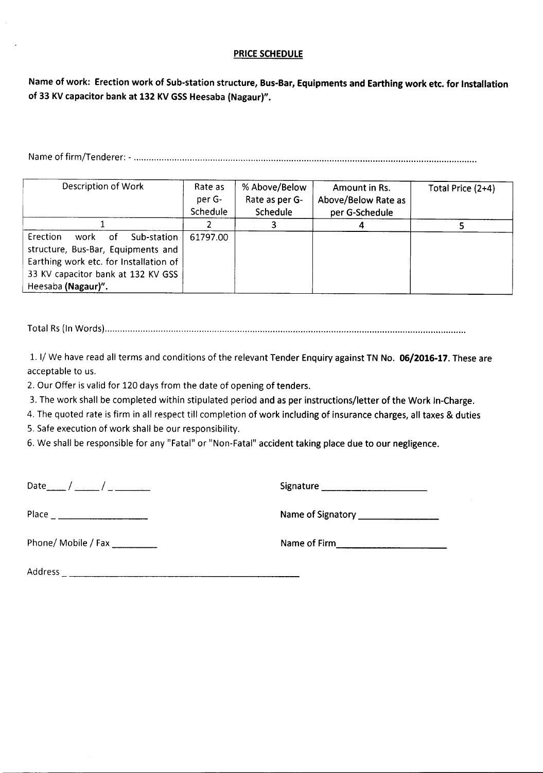#### PRICE SCHEDULE

Name of work: Erection work of Sub-station structure, Bus-Bar, Equipments and Earthing work etc. for Installation of 33 KV capacitor bank at 132 KV GSS Heesaba (Nagaur)".

Nameof firm/Tenderer: - .

| Description of Work                                                                                                                                                                       | Rate as<br>per G-<br>Schedule | % Above/Below<br>Rate as per G-<br>Schedule | Amount in Rs.<br>Above/Below Rate as<br>per G-Schedule | Total Price (2+4) |  |  |
|-------------------------------------------------------------------------------------------------------------------------------------------------------------------------------------------|-------------------------------|---------------------------------------------|--------------------------------------------------------|-------------------|--|--|
|                                                                                                                                                                                           |                               |                                             |                                                        |                   |  |  |
| <b>Erection</b><br>Sub-station<br>work<br>.of<br>structure, Bus-Bar, Equipments and<br>Earthing work etc. for Installation of<br>33 KV capacitor bank at 132 KV GSS<br>Heesaba (Nagaur)". | 61797.00                      |                                             |                                                        |                   |  |  |

Total Rs(In Words) .

1. I/We have read all terms and conditions of the relevant Tender Enquiry against TN No. 06/2016-17. These are acceptable to us.

2. Our Offer is valid for 120 days from the date of opening of tenders.

3. The work shall be completed within stipulated period and as per instructions/letter of the Work In-Charge.

4. The quoted rate is firm in all respect till completion of work including of insurance charges, all taxes & duties

5. Safe execution of work shall be our responsibility.

6. We shall be responsible for any "Fatal" or "Non-Fatal" accident taking place due to our negligence.

Date\_\_ / \_\_ / \_ Signature \_

Place Nameof Signatory \_

Phone/ Mobile / Fax \_ Nameof Firm \_

Address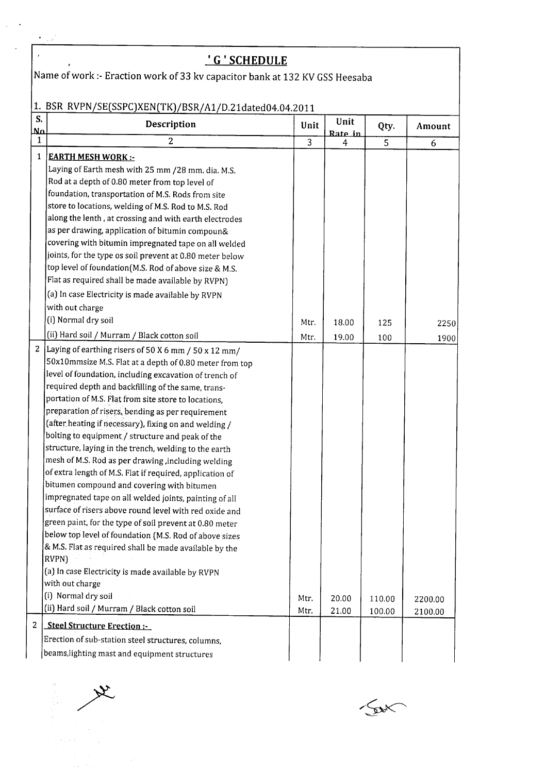|                | <u>' G ' SCHEDULE</u>                                                       |                |              |        |         |
|----------------|-----------------------------------------------------------------------------|----------------|--------------|--------|---------|
|                | Name of work :- Eraction work of 33 kv capacitor bank at 132 KV GSS Heesaba |                |              |        |         |
|                |                                                                             |                |              |        |         |
|                | 1. BSR RVPN/SE(SSPC)XEN(TK)/BSR/A1/D.21dated04.04.2011                      |                |              |        |         |
| S.<br>$M$      | Description                                                                 | Unit           | Unit         | Qty.   | Amount  |
| $\mathbf{1}$   | 2                                                                           | $\overline{3}$ | Rate in<br>4 | 5      | 6       |
| $\mathbf{1}$   | <b>EARTH MESH WORK:-</b>                                                    |                |              |        |         |
|                | Laying of Earth mesh with 25 mm /28 mm. dia. M.S.                           |                |              |        |         |
|                | Rod at a depth of 0.80 meter from top level of                              |                |              |        |         |
|                | foundation, transportation of M.S. Rods from site                           |                |              |        |         |
|                | store to locations, welding of M.S. Rod to M.S. Rod                         |                |              |        |         |
|                | along the lenth, at crossing and with earth electrodes                      |                |              |        |         |
|                | as per drawing, application of bitumin compoun&                             |                |              |        |         |
|                | covering with bitumin impregnated tape on all welded                        |                |              |        |         |
|                | joints, for the type os soil prevent at 0.80 meter below                    |                |              |        |         |
|                | top level of foundation (M.S. Rod of above size & M.S.                      |                |              |        |         |
|                | Flat as required shall be made available by RVPN)                           |                |              |        |         |
|                | (a) In case Electricity is made available by RVPN                           |                |              |        |         |
|                | with out charge                                                             |                |              |        |         |
|                | (i) Normal dry soil                                                         | Mtr.           | 18.00        | 125    | 2250    |
|                | (ii) Hard soil / Murram / Black cotton soil                                 | Mtr.           | 19.00        | 100    | 1900    |
| $\overline{2}$ | Laying of earthing risers of 50 X 6 mm / 50 x 12 mm/                        |                |              |        |         |
|                | 50x10mmsize M.S. Flat at a depth of 0.80 meter from top                     |                |              |        |         |
|                | level of foundation, including excavation of trench of                      |                |              |        |         |
|                | required depth and backfilling of the same, trans-                          |                |              |        |         |
|                | portation of M.S. Flat from site store to locations,                        |                |              |        |         |
|                | preparation of risers, bending as per requirement                           |                |              |        |         |
|                | (after heating if necessary), fixing on and welding /                       |                |              |        |         |
|                | bolting to equipment / structure and peak of the                            |                |              |        |         |
|                | structure, laying in the trench, welding to the earth                       |                |              |        |         |
|                | mesh of M.S. Rod as per drawing, including welding                          |                |              |        |         |
|                | of extra length of M.S. Flat if required, application of                    |                |              |        |         |
|                | bitumen compound and covering with bitumen                                  |                |              |        |         |
|                | impregnated tape on all welded joints, painting of all                      |                |              |        |         |
|                | surface of risers above round level with red oxide and                      |                |              |        |         |
|                | green paint, for the type of soil prevent at 0.80 meter                     |                |              |        |         |
|                | below top level of foundation (M.S. Rod of above sizes                      |                |              |        |         |
|                | & M.S. Flat as required shall be made available by the                      |                |              |        |         |
|                | RVPN)                                                                       |                |              |        |         |
|                | (a) In case Electricity is made available by RVPN                           |                |              |        |         |
|                | with out charge                                                             |                |              |        |         |
|                | (i) Normal dry soil                                                         | Mtr.           | 20.00        | 110.00 | 2200.00 |
|                | (ii) Hard soil / Murram / Black cotton soil                                 | Mtr.           | 21.00        | 100.00 | 2100.00 |
| 2              | Steel Structure Erection :-                                                 |                |              |        |         |
|                | Erection of sub-station steel structures, columns,                          |                |              |        |         |

 $\label{eq:1} \begin{aligned} \frac{\partial \mathbf{V}}{\partial \mathbf{V}} & = \frac{1}{2} \left( \mathbf{V} \mathbf{V} \right)^{-1} \mathbf{V} \left( \mathbf{V} \right)^{-1} \mathbf{V} \left( \mathbf{V} \right)^{-1} \mathbf{V} \left( \mathbf{V} \right)^{-1} \mathbf{V} \left( \mathbf{V} \right)^{-1} \mathbf{V} \left( \mathbf{V} \right)^{-1} \mathbf{V} \left( \mathbf{V} \right)^{-1} \mathbf{V} \left( \mathbf{V} \right)^{-1} \mathbf{V} \left( \mathbf{$ 

 $\label{eq:1} \begin{array}{l} \mathbb{E} \left[ \left( \theta_{\text{eff}} \right) \right] \leq \frac{1}{\sqrt{2}} \end{array}$ 

 $\sqrt{\mathbf{v}}$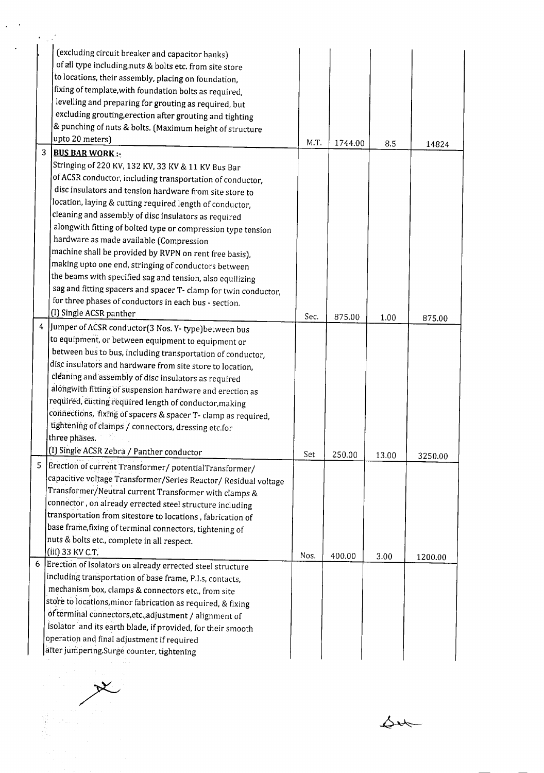|   | (excluding circuit breaker and capacitor banks)                 |      |         |       |         |
|---|-----------------------------------------------------------------|------|---------|-------|---------|
|   | of all type including, nuts & bolts etc. from site store        |      |         |       |         |
|   | to locations, their assembly, placing on foundation,            |      |         |       |         |
|   | fixing of template, with foundation bolts as required,          |      |         |       |         |
|   | levelling and preparing for grouting as required, but           |      |         |       |         |
|   | excluding grouting, erection after grouting and tighting        |      |         |       |         |
|   | & punching of nuts & bolts. (Maximum height of structure        |      |         |       |         |
|   | upto 20 meters)                                                 | M.T. | 1744.00 | 8.5   | 14824   |
| 3 | <b>BUS BAR WORK:-</b>                                           |      |         |       |         |
|   | Stringing of 220 KV, 132 KV, 33 KV & 11 KV Bus Bar              |      |         |       |         |
|   | of ACSR conductor, including transportation of conductor,       |      |         |       |         |
|   | disc insulators and tension hardware from site store to         |      |         |       |         |
|   | location, laying & cutting required length of conductor,        |      |         |       |         |
|   | cleaning and assembly of disc insulators as required            |      |         |       |         |
|   | alongwith fitting of bolted type or compression type tension    |      |         |       |         |
|   | hardware as made available (Compression                         |      |         |       |         |
|   | machine shall be provided by RVPN on rent free basis),          |      |         |       |         |
|   | making upto one end, stringing of conductors between            |      |         |       |         |
|   | the beams with specified sag and tension, also equilizing       |      |         |       |         |
|   | sag and fitting spacers and spacer T- clamp for twin conductor, |      |         |       |         |
|   | for three phases of conductors in each bus - section.           |      |         |       |         |
|   | (I) Single ACSR panther                                         | Sec. | 875.00  | 1.00  | 875.00  |
|   | 4 Jumper of ACSR conductor(3 Nos. Y-type) between bus           |      |         |       |         |
|   | to equipment, or between equipment to equipment or              |      |         |       |         |
|   | between bus to bus, including transportation of conductor,      |      |         |       |         |
|   | disc insulators and hardware from site store to location,       |      |         |       |         |
|   | cleaning and assembly of disc insulators as required            |      |         |       |         |
|   | alongwith fitting of suspension hardware and erection as        |      |         |       |         |
|   | required, cutting required length of conductor, making          |      |         |       |         |
|   | connections, fixing of spacers & spacer T- clamp as required,   |      |         |       |         |
|   | tightening of clamps / connectors, dressing etc.for             |      |         |       |         |
|   | three phases.                                                   |      |         |       |         |
|   | (I) Single ACSR Zebra / Panther conductor                       | Set  | 250.00  | 13.00 |         |
|   | 5   Erection of current Transformer/ potential Transformer/     |      |         |       | 3250.00 |
|   | capacitive voltage Transformer/Series Reactor/ Residual voltage |      |         |       |         |
|   | Transformer/Neutral current Transformer with clamps &           |      |         |       |         |
|   | connector, on already errected steel structure including        |      |         |       |         |
|   | transportation from sitestore to locations, fabrication of      |      |         |       |         |
|   | base frame, fixing of terminal connectors, tightening of        |      |         |       |         |
|   | nuts & bolts etc., complete in all respect.                     |      |         |       |         |
|   | (iii) 33 KV C.T.                                                | Nos. |         |       |         |
|   | 6 Erection of Isolators on already errected steel structure     |      | 400.00  | 3.00  | 1200.00 |
|   | including transportation of base frame, P.I.s, contacts,        |      |         |       |         |
|   | mechanism box, clamps & connectors etc., from site              |      |         |       |         |
|   | store to locations, minor fabrication as required, & fixing     |      |         |       |         |
|   | of terminal connectors, etc., adjustment / alignment of         |      |         |       |         |
|   |                                                                 |      |         |       |         |
|   | isolator and its earth blade, if provided, for their smooth     |      |         |       |         |

1. 主要要求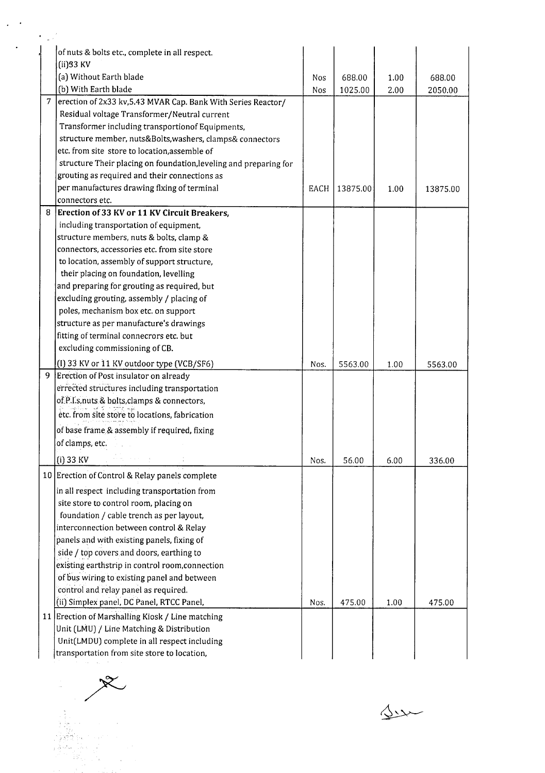|   | of nuts & bolts etc., complete in all respect.                                     |      |          |      |          |
|---|------------------------------------------------------------------------------------|------|----------|------|----------|
|   | $(ii)$ 33 KV                                                                       |      |          |      |          |
|   | (a) Without Earth blade                                                            | Nos  | 688.00   | 1.00 | 688.00   |
|   | (b) With Earth blade                                                               | Nos  | 1025.00  | 2.00 | 2050.00  |
|   | 7   erection of 2x33 kv, 5.43 MVAR Cap. Bank With Series Reactor/                  |      |          |      |          |
|   | Residual voltage Transformer/Neutral current                                       |      |          |      |          |
|   | Transformer including transportionof Equipments,                                   |      |          |      |          |
|   | structure member, nuts&Bolts, washers, clamps& connectors                          |      |          |      |          |
|   | etc. from site store to location, assemble of                                      |      |          |      |          |
|   | structure Their placing on foundation, leveling and preparing for                  |      |          |      |          |
|   | grouting as required and their connections as                                      |      |          |      |          |
|   | per manufactures drawing flxing of terminal                                        | EACH | 13875.00 | 1.00 | 13875.00 |
|   | connectors etc.                                                                    |      |          |      |          |
| 8 | Erection of 33 KV or 11 KV Circuit Breakers,                                       |      |          |      |          |
|   | including transportation of equipment,                                             |      |          |      |          |
|   | structure members, nuts & bolts, clamp &                                           |      |          |      |          |
|   | connectors, accessories etc. from site store                                       |      |          |      |          |
|   | to location, assembly of support structure,                                        |      |          |      |          |
|   | their placing on foundation, levelling                                             |      |          |      |          |
|   | and preparing for grouting as required, but                                        |      |          |      |          |
|   | excluding grouting, assembly / placing of                                          |      |          |      |          |
|   | poles, mechanism box etc. on support                                               |      |          |      |          |
|   | structure as per manufacture's drawings                                            |      |          |      |          |
|   | fitting of terminal connecrors etc. but                                            |      |          |      |          |
|   | excluding commissioning of CB.                                                     |      |          |      |          |
|   | (I) 33 KV or 11 KV outdoor type (VCB/SF6)                                          | Nos. | 5563.00  | 1.00 | 5563.00  |
| 9 | Erection of Post insulator on already                                              |      |          |      |          |
|   | errected structures including transportation                                       |      |          |      |          |
|   | of P.I.s.nuts & bolts, clamps & connectors,                                        |      |          |      |          |
|   | etc. from site store to locations, fabrication                                     |      |          |      |          |
|   | of base frame & assembly if required, fixing                                       |      |          |      |          |
|   | of clamps, etc.                                                                    |      |          |      |          |
|   | $(i)$ 33 KV                                                                        |      | 56.00    | 6.00 | 336.00   |
|   | 10 Erection of Control & Relay panels complete                                     | Nos. |          |      |          |
|   | in all respect including transportation from                                       |      |          |      |          |
|   |                                                                                    |      |          |      |          |
|   | site store to control room, placing on<br>foundation / cable trench as per layout, |      |          |      |          |
|   | interconnection between control & Relay                                            |      |          |      |          |
|   |                                                                                    |      |          |      |          |
|   | panels and with existing panels, fixing of                                         |      |          |      |          |
|   | side / top covers and doors, earthing to                                           |      |          |      |          |
|   | existing earthstrip in control room, connection                                    |      |          |      |          |
|   | of bus wiring to existing panel and between                                        |      |          |      |          |
|   | control and relay panel as required.                                               |      |          |      |          |
|   | (ii) Simplex panel, DC Panel, RTCC Panel,                                          | Nos. | 475.00   | 1.00 | 475.00   |
|   | 11 Erection of Marshalling Kiosk / Line matching                                   |      |          |      |          |
|   | Unit (LMU) / Line Matching & Distribution                                          |      |          |      |          |
|   | Unit(LMDU) complete in all respect including                                       |      |          |      |          |
|   | transportation from site store to location,                                        |      |          |      |          |

transportation from site<br>
and the contract of the contract of the contract of the contract of the contract of the contract of the contract of the contract of the contract of the contract of the contract of the contract of

 $\Delta x$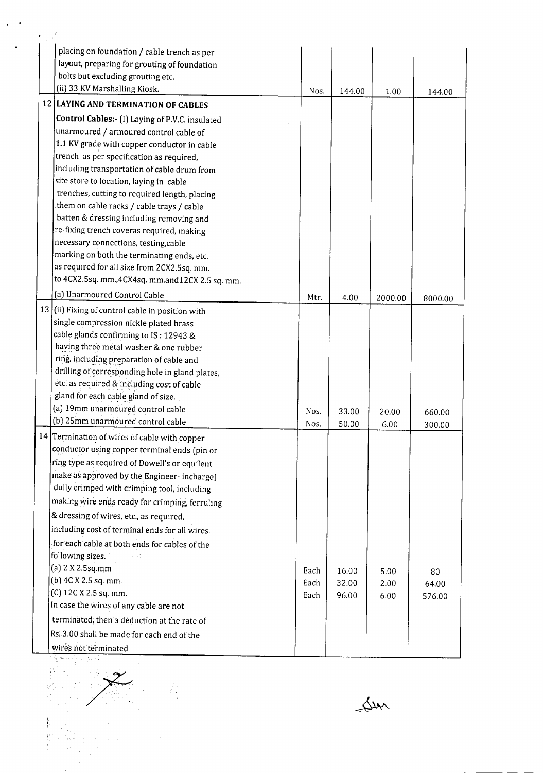| placing on foundation / cable trench as per                                                                                                                                                                                   |      |        |         |         |
|-------------------------------------------------------------------------------------------------------------------------------------------------------------------------------------------------------------------------------|------|--------|---------|---------|
| layout, preparing for grouting of foundation<br>bolts but excluding grouting etc.                                                                                                                                             |      |        |         |         |
| (ii) 33 KV Marshalling Kiosk.                                                                                                                                                                                                 |      |        |         |         |
| 12 LAYING AND TERMINATION OF CABLES                                                                                                                                                                                           | Nos. | 144.00 | 1.00    | 144.00  |
|                                                                                                                                                                                                                               |      |        |         |         |
| Control Cables: (I) Laying of P.V.C. insulated<br>unarmoured / armoured control cable of                                                                                                                                      |      |        |         |         |
| 1.1 KV grade with copper conductor in cable                                                                                                                                                                                   |      |        |         |         |
| trench as per specification as required,                                                                                                                                                                                      |      |        |         |         |
| including transportation of cable drum from                                                                                                                                                                                   |      |        |         |         |
| site store to location, laying in cable                                                                                                                                                                                       |      |        |         |         |
| trenches, cutting to required length, placing                                                                                                                                                                                 |      |        |         |         |
| them on cable racks / cable trays / cable                                                                                                                                                                                     |      |        |         |         |
| batten & dressing including removing and                                                                                                                                                                                      |      |        |         |         |
| re-fixing trench coveras required, making                                                                                                                                                                                     |      |        |         |         |
| necessary connections, testing, cable                                                                                                                                                                                         |      |        |         |         |
| marking on both the terminating ends, etc.                                                                                                                                                                                    |      |        |         |         |
| as required for all size from 2CX2.5sq. mm.                                                                                                                                                                                   |      |        |         |         |
| to 4CX2.5sq. mm.,4CX4sq. mm.and12CX 2.5 sq. mm.                                                                                                                                                                               |      |        |         |         |
| (a) Unarmoured Control Cable                                                                                                                                                                                                  | Mtr. | 4.00   | 2000.00 | 8000.00 |
| 13 (ii) Fixing of control cable in position with                                                                                                                                                                              |      |        |         |         |
| single compression nickle plated brass                                                                                                                                                                                        |      |        |         |         |
| cable glands confirming to IS: 12943 &                                                                                                                                                                                        |      |        |         |         |
| having three metal washer & one rubber                                                                                                                                                                                        |      |        |         |         |
| ring, including preparation of cable and<br>drilling of corresponding hole in gland plates,                                                                                                                                   |      |        |         |         |
| etc. as required & including cost of cable                                                                                                                                                                                    |      |        |         |         |
| gland for each cable gland of size.                                                                                                                                                                                           |      |        |         |         |
| (a) 19mm unarmoured control cable                                                                                                                                                                                             | Nos. | 33.00  | 20.00   | 660.00  |
| (b) 25mm unarmoured control cable                                                                                                                                                                                             | Nos. | 50.00  | 6.00    | 300.00  |
| 14 Termination of wires of cable with copper                                                                                                                                                                                  |      |        |         |         |
| conductor using copper terminal ends (pin or                                                                                                                                                                                  |      |        |         |         |
| ring type as required of Dowell's or equilent                                                                                                                                                                                 |      |        |         |         |
| make as approved by the Engineer-incharge)                                                                                                                                                                                    |      |        |         |         |
| dully crimped with crimping tool, including                                                                                                                                                                                   |      |        |         |         |
| making wire ends ready for crimping, ferruling                                                                                                                                                                                |      |        |         |         |
| & dressing of wires, etc., as required,                                                                                                                                                                                       |      |        |         |         |
| including cost of terminal ends for all wires,                                                                                                                                                                                |      |        |         |         |
| for each cable at both ends for cables of the                                                                                                                                                                                 |      |        |         |         |
| following sizes. The contract of the contract of the contract of the contract of the contract of the contract of the contract of the contract of the contract of the contract of the contract of the contract of the contract |      |        |         |         |
| (a) $2 \times 2.5$ sq.mm                                                                                                                                                                                                      | Each | 16.00  | 5.00    | 80      |
| (b) 4C X 2.5 sq. mm.                                                                                                                                                                                                          | Each | 32.00  | 2.00    | 64.00   |
| (C) 12C X 2.5 sq. mm.                                                                                                                                                                                                         | Each | 96.00  | 6.00    | 576.00  |
| In case the wires of any cable are not                                                                                                                                                                                        |      |        |         |         |
| terminated, then a deduction at the rate of                                                                                                                                                                                   |      |        |         |         |
| Rs. 3.00 shall be made for each end of the                                                                                                                                                                                    |      |        |         |         |
| wires not terminated                                                                                                                                                                                                          |      |        |         |         |
|                                                                                                                                                                                                                               |      |        |         |         |
|                                                                                                                                                                                                                               |      |        |         |         |
|                                                                                                                                                                                                                               |      |        |         |         |
|                                                                                                                                                                                                                               |      |        |         |         |
|                                                                                                                                                                                                                               |      |        |         |         |
|                                                                                                                                                                                                                               |      |        |         |         |
|                                                                                                                                                                                                                               |      |        |         |         |
|                                                                                                                                                                                                                               |      |        |         |         |

Ster